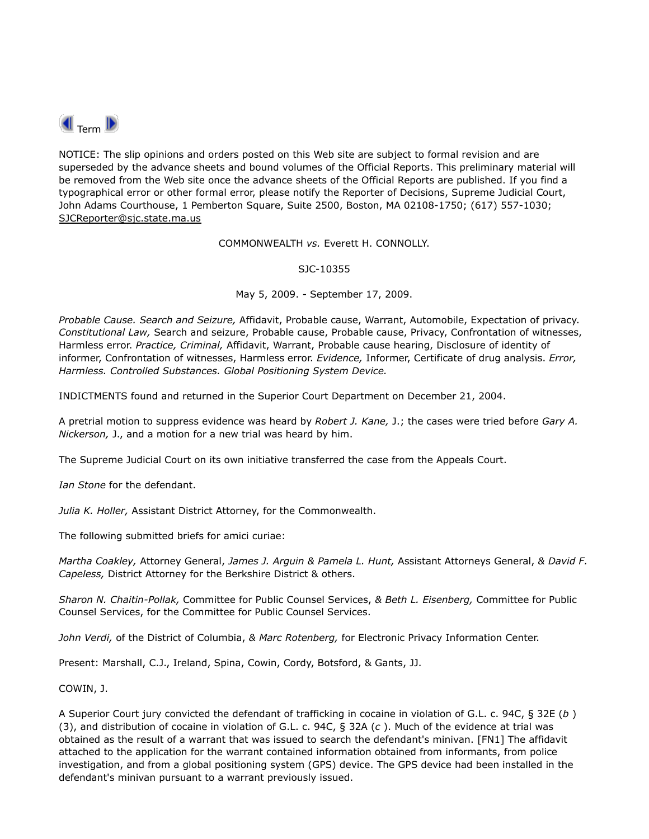

NOTICE: The slip opinions and orders posted on this Web site are subject to formal revision and are superseded by the advance sheets and bound volumes of the Official Reports. This preliminary material will be removed from the Web site once the advance sheets of the Official Reports are published. If you find a typographical error or other formal error, please notify the Reporter of Decisions, Supreme Judicial Court, John Adams Courthouse, 1 Pemberton Square, Suite 2500, Boston, MA 02108-1750; (617) 557-1030; SJCReporter@sjc.state.ma.us

COMMONWEALTH *vs.* Everett H. CONNOLLY.

SJC-10355

May 5, 2009. - September 17, 2009.

*Probable Cause. Search and Seizure,* Affidavit, Probable cause, Warrant, Automobile, Expectation of privacy. *Constitutional Law,* Search and seizure, Probable cause, Probable cause, Privacy, Confrontation of witnesses, Harmless error. *Practice, Criminal,* Affidavit, Warrant, Probable cause hearing, Disclosure of identity of informer, Confrontation of witnesses, Harmless error. *Evidence,* Informer, Certificate of drug analysis. *Error, Harmless. Controlled Substances. Global Positioning System Device.*

INDICTMENTS found and returned in the Superior Court Department on December 21, 2004.

A pretrial motion to suppress evidence was heard by *Robert J. Kane,* J.; the cases were tried before *Gary A. Nickerson,* J., and a motion for a new trial was heard by him.

The Supreme Judicial Court on its own initiative transferred the case from the Appeals Court.

*Ian Stone* for the defendant.

*Julia K. Holler,* Assistant District Attorney, for the Commonwealth.

The following submitted briefs for amici curiae:

*Martha Coakley,* Attorney General, *James J. Arguin & Pamela L. Hunt,* Assistant Attorneys General, *& David F. Capeless,* District Attorney for the Berkshire District & others.

*Sharon N. Chaitin-Pollak,* Committee for Public Counsel Services, *& Beth L. Eisenberg,* Committee for Public Counsel Services, for the Committee for Public Counsel Services.

*John Verdi,* of the District of Columbia, *& Marc Rotenberg,* for Electronic Privacy Information Center.

Present: Marshall, C.J., Ireland, Spina, Cowin, Cordy, Botsford, & Gants, JJ.

COWIN, J.

A Superior Court jury convicted the defendant of trafficking in cocaine in violation of G.L. c. 94C, § 32E (*b* ) (3), and distribution of cocaine in violation of G.L. c. 94C, § 32A (*c* ). Much of the evidence at trial was obtained as the result of a warrant that was issued to search the defendant's minivan. [FN1] The affidavit attached to the application for the warrant contained information obtained from informants, from police investigation, and from a global positioning system (GPS) device. The GPS device had been installed in the defendant's minivan pursuant to a warrant previously issued.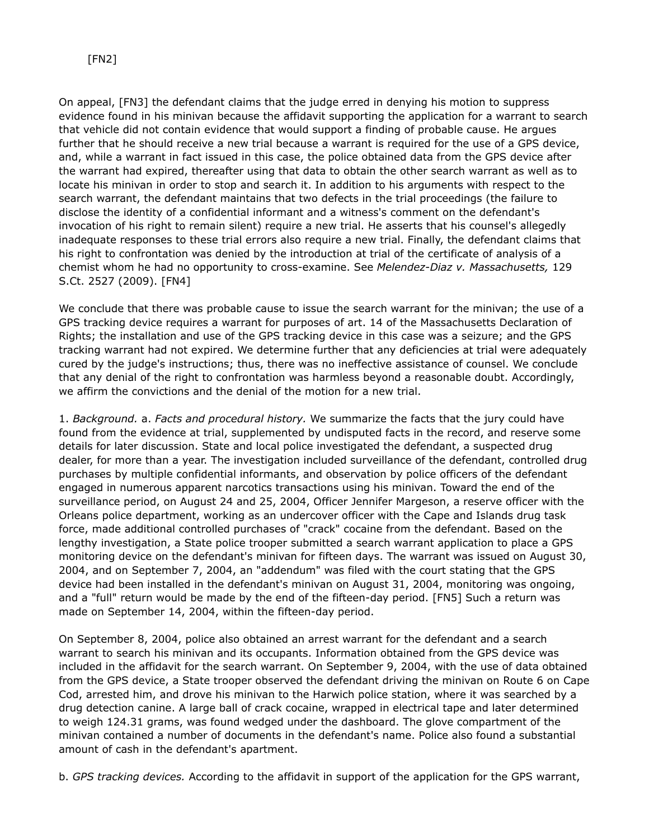On appeal, [FN3] the defendant claims that the judge erred in denying his motion to suppress evidence found in his minivan because the affidavit supporting the application for a warrant to search that vehicle did not contain evidence that would support a finding of probable cause. He argues further that he should receive a new trial because a warrant is required for the use of a GPS device, and, while a warrant in fact issued in this case, the police obtained data from the GPS device after the warrant had expired, thereafter using that data to obtain the other search warrant as well as to locate his minivan in order to stop and search it. In addition to his arguments with respect to the search warrant, the defendant maintains that two defects in the trial proceedings (the failure to disclose the identity of a confidential informant and a witness's comment on the defendant's invocation of his right to remain silent) require a new trial. He asserts that his counsel's allegedly inadequate responses to these trial errors also require a new trial. Finally, the defendant claims that his right to confrontation was denied by the introduction at trial of the certificate of analysis of a chemist whom he had no opportunity to cross-examine. See *Melendez*-*Diaz v. Massachusetts,* 129 S.Ct. 2527 (2009). [FN4]

We conclude that there was probable cause to issue the search warrant for the minivan; the use of a GPS tracking device requires a warrant for purposes of art. 14 of the Massachusetts Declaration of Rights; the installation and use of the GPS tracking device in this case was a seizure; and the GPS tracking warrant had not expired. We determine further that any deficiencies at trial were adequately cured by the judge's instructions; thus, there was no ineffective assistance of counsel. We conclude that any denial of the right to confrontation was harmless beyond a reasonable doubt. Accordingly, we affirm the convictions and the denial of the motion for a new trial.

1. *Background.* a. *Facts and procedural history.* We summarize the facts that the jury could have found from the evidence at trial, supplemented by undisputed facts in the record, and reserve some details for later discussion. State and local police investigated the defendant, a suspected drug dealer, for more than a year. The investigation included surveillance of the defendant, controlled drug purchases by multiple confidential informants, and observation by police officers of the defendant engaged in numerous apparent narcotics transactions using his minivan. Toward the end of the surveillance period, on August 24 and 25, 2004, Officer Jennifer Margeson, a reserve officer with the Orleans police department, working as an undercover officer with the Cape and Islands drug task force, made additional controlled purchases of "crack" cocaine from the defendant. Based on the lengthy investigation, a State police trooper submitted a search warrant application to place a GPS monitoring device on the defendant's minivan for fifteen days. The warrant was issued on August 30, 2004, and on September 7, 2004, an "addendum" was filed with the court stating that the GPS device had been installed in the defendant's minivan on August 31, 2004, monitoring was ongoing, and a "full" return would be made by the end of the fifteen-day period. [FN5] Such a return was made on September 14, 2004, within the fifteen-day period.

On September 8, 2004, police also obtained an arrest warrant for the defendant and a search warrant to search his minivan and its occupants. Information obtained from the GPS device was included in the affidavit for the search warrant. On September 9, 2004, with the use of data obtained from the GPS device, a State trooper observed the defendant driving the minivan on Route 6 on Cape Cod, arrested him, and drove his minivan to the Harwich police station, where it was searched by a drug detection canine. A large ball of crack cocaine, wrapped in electrical tape and later determined to weigh 124.31 grams, was found wedged under the dashboard. The glove compartment of the minivan contained a number of documents in the defendant's name. Police also found a substantial amount of cash in the defendant's apartment.

b. *GPS tracking devices.* According to the affidavit in support of the application for the GPS warrant,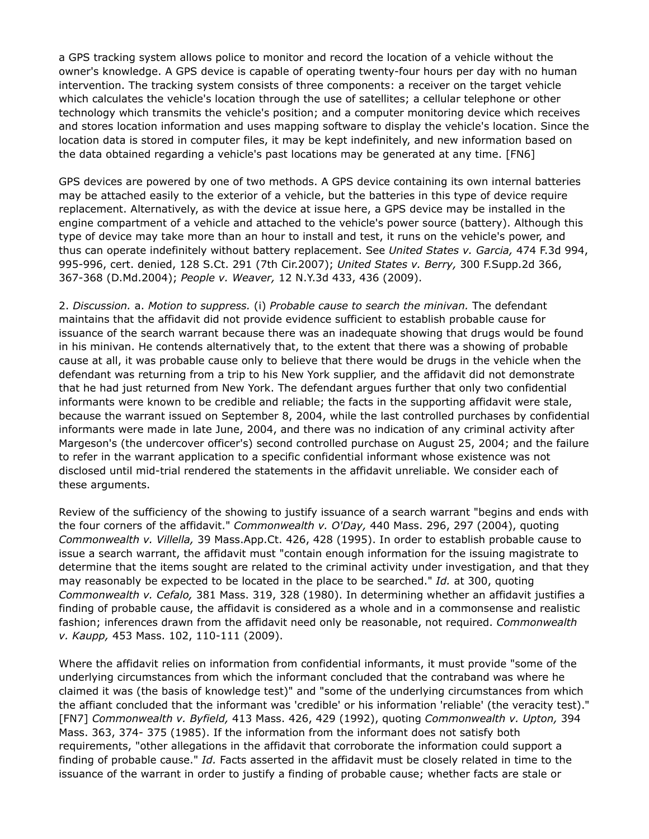a GPS tracking system allows police to monitor and record the location of a vehicle without the owner's knowledge. A GPS device is capable of operating twenty-four hours per day with no human intervention. The tracking system consists of three components: a receiver on the target vehicle which calculates the vehicle's location through the use of satellites; a cellular telephone or other technology which transmits the vehicle's position; and a computer monitoring device which receives and stores location information and uses mapping software to display the vehicle's location. Since the location data is stored in computer files, it may be kept indefinitely, and new information based on the data obtained regarding a vehicle's past locations may be generated at any time. [FN6]

GPS devices are powered by one of two methods. A GPS device containing its own internal batteries may be attached easily to the exterior of a vehicle, but the batteries in this type of device require replacement. Alternatively, as with the device at issue here, a GPS device may be installed in the engine compartment of a vehicle and attached to the vehicle's power source (battery). Although this type of device may take more than an hour to install and test, it runs on the vehicle's power, and thus can operate indefinitely without battery replacement. See *United States v. Garcia,* 474 F.3d 994, 995-996, cert. denied, 128 S.Ct. 291 (7th Cir.2007); *United States v. Berry,* 300 F.Supp.2d 366, 367-368 (D.Md.2004); *People v. Weaver,* 12 N.Y.3d 433, 436 (2009).

2. *Discussion.* a. *Motion to suppress.* (i) *Probable cause to search the minivan.* The defendant maintains that the affidavit did not provide evidence sufficient to establish probable cause for issuance of the search warrant because there was an inadequate showing that drugs would be found in his minivan. He contends alternatively that, to the extent that there was a showing of probable cause at all, it was probable cause only to believe that there would be drugs in the vehicle when the defendant was returning from a trip to his New York supplier, and the affidavit did not demonstrate that he had just returned from New York. The defendant argues further that only two confidential informants were known to be credible and reliable; the facts in the supporting affidavit were stale, because the warrant issued on September 8, 2004, while the last controlled purchases by confidential informants were made in late June, 2004, and there was no indication of any criminal activity after Margeson's (the undercover officer's) second controlled purchase on August 25, 2004; and the failure to refer in the warrant application to a specific confidential informant whose existence was not disclosed until mid-trial rendered the statements in the affidavit unreliable. We consider each of these arguments.

Review of the sufficiency of the showing to justify issuance of a search warrant "begins and ends with the four corners of the affidavit." *Commonwealth v. O'Day,* 440 Mass. 296, 297 (2004), quoting *Commonwealth v. Villella,* 39 Mass.App.Ct. 426, 428 (1995). In order to establish probable cause to issue a search warrant, the affidavit must "contain enough information for the issuing magistrate to determine that the items sought are related to the criminal activity under investigation, and that they may reasonably be expected to be located in the place to be searched." *Id.* at 300, quoting *Commonwealth v. Cefalo,* 381 Mass. 319, 328 (1980). In determining whether an affidavit justifies a finding of probable cause, the affidavit is considered as a whole and in a commonsense and realistic fashion; inferences drawn from the affidavit need only be reasonable, not required. *Commonwealth v. Kaupp,* 453 Mass. 102, 110-111 (2009).

Where the affidavit relies on information from confidential informants, it must provide "some of the underlying circumstances from which the informant concluded that the contraband was where he claimed it was (the basis of knowledge test)" and "some of the underlying circumstances from which the affiant concluded that the informant was 'credible' or his information 'reliable' (the veracity test)." [FN7] *Commonwealth v. Byfield,* 413 Mass. 426, 429 (1992), quoting *Commonwealth v. Upton,* 394 Mass. 363, 374- 375 (1985). If the information from the informant does not satisfy both requirements, "other allegations in the affidavit that corroborate the information could support a finding of probable cause." *Id.* Facts asserted in the affidavit must be closely related in time to the issuance of the warrant in order to justify a finding of probable cause; whether facts are stale or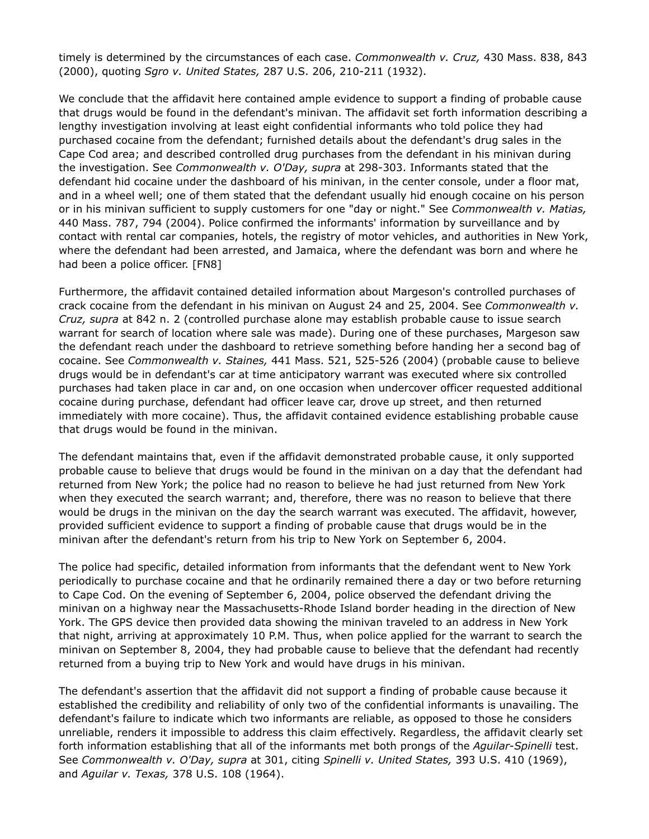timely is determined by the circumstances of each case. *Commonwealth v. Cruz,* 430 Mass. 838, 843 (2000), quoting *Sgro v. United States,* 287 U.S. 206, 210-211 (1932).

We conclude that the affidavit here contained ample evidence to support a finding of probable cause that drugs would be found in the defendant's minivan. The affidavit set forth information describing a lengthy investigation involving at least eight confidential informants who told police they had purchased cocaine from the defendant; furnished details about the defendant's drug sales in the Cape Cod area; and described controlled drug purchases from the defendant in his minivan during the investigation. See *Commonwealth v. O'Day, supra* at 298-303. Informants stated that the defendant hid cocaine under the dashboard of his minivan, in the center console, under a floor mat, and in a wheel well; one of them stated that the defendant usually hid enough cocaine on his person or in his minivan sufficient to supply customers for one "day or night." See *Commonwealth v. Matias,* 440 Mass. 787, 794 (2004). Police confirmed the informants' information by surveillance and by contact with rental car companies, hotels, the registry of motor vehicles, and authorities in New York, where the defendant had been arrested, and Jamaica, where the defendant was born and where he had been a police officer. [FN8]

Furthermore, the affidavit contained detailed information about Margeson's controlled purchases of crack cocaine from the defendant in his minivan on August 24 and 25, 2004. See *Commonwealth v. Cruz, supra* at 842 n. 2 (controlled purchase alone may establish probable cause to issue search warrant for search of location where sale was made). During one of these purchases, Margeson saw the defendant reach under the dashboard to retrieve something before handing her a second bag of cocaine. See *Commonwealth v. Staines,* 441 Mass. 521, 525-526 (2004) (probable cause to believe drugs would be in defendant's car at time anticipatory warrant was executed where six controlled purchases had taken place in car and, on one occasion when undercover officer requested additional cocaine during purchase, defendant had officer leave car, drove up street, and then returned immediately with more cocaine). Thus, the affidavit contained evidence establishing probable cause that drugs would be found in the minivan.

The defendant maintains that, even if the affidavit demonstrated probable cause, it only supported probable cause to believe that drugs would be found in the minivan on a day that the defendant had returned from New York; the police had no reason to believe he had just returned from New York when they executed the search warrant; and, therefore, there was no reason to believe that there would be drugs in the minivan on the day the search warrant was executed. The affidavit, however, provided sufficient evidence to support a finding of probable cause that drugs would be in the minivan after the defendant's return from his trip to New York on September 6, 2004.

The police had specific, detailed information from informants that the defendant went to New York periodically to purchase cocaine and that he ordinarily remained there a day or two before returning to Cape Cod. On the evening of September 6, 2004, police observed the defendant driving the minivan on a highway near the Massachusetts-Rhode Island border heading in the direction of New York. The GPS device then provided data showing the minivan traveled to an address in New York that night, arriving at approximately 10 P.M. Thus, when police applied for the warrant to search the minivan on September 8, 2004, they had probable cause to believe that the defendant had recently returned from a buying trip to New York and would have drugs in his minivan.

The defendant's assertion that the affidavit did not support a finding of probable cause because it established the credibility and reliability of only two of the confidential informants is unavailing. The defendant's failure to indicate which two informants are reliable, as opposed to those he considers unreliable, renders it impossible to address this claim effectively. Regardless, the affidavit clearly set forth information establishing that all of the informants met both prongs of the *Aguilar*-*Spinelli* test. See *Commonwealth v. O'Day, supra* at 301, citing *Spinelli v. United States,* 393 U.S. 410 (1969), and *Aguilar v. Texas,* 378 U.S. 108 (1964).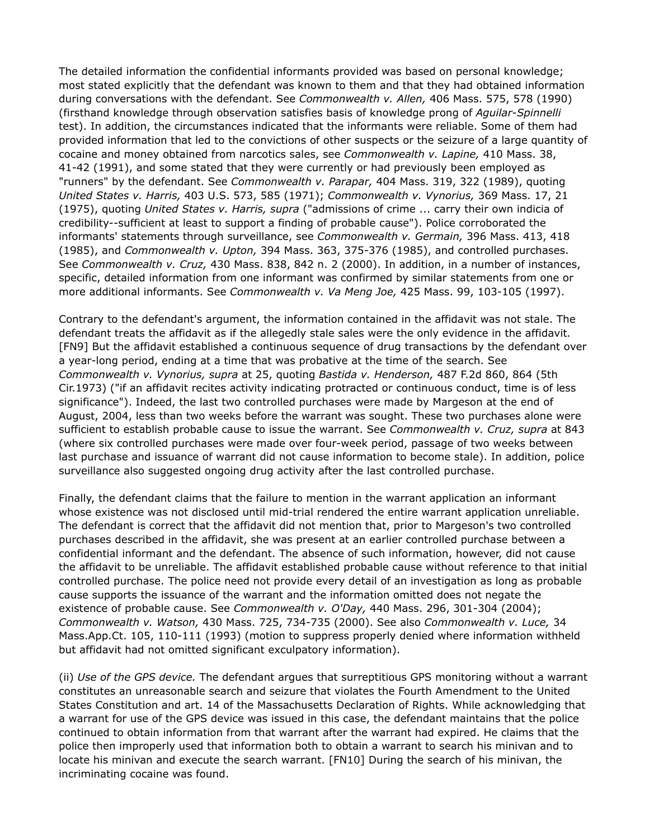The detailed information the confidential informants provided was based on personal knowledge; most stated explicitly that the defendant was known to them and that they had obtained information during conversations with the defendant. See *Commonwealth v. Allen,* 406 Mass. 575, 578 (1990) (firsthand knowledge through observation satisfies basis of knowledge prong of *Aguilar*-*Spinnelli* test). In addition, the circumstances indicated that the informants were reliable. Some of them had provided information that led to the convictions of other suspects or the seizure of a large quantity of cocaine and money obtained from narcotics sales, see *Commonwealth v. Lapine,* 410 Mass. 38, 41-42 (1991), and some stated that they were currently or had previously been employed as "runners" by the defendant. See *Commonwealth v. Parapar,* 404 Mass. 319, 322 (1989), quoting *United States v. Harris,* 403 U.S. 573, 585 (1971); *Commonwealth v. Vynorius,* 369 Mass. 17, 21 (1975), quoting *United States v. Harris, supra* ("admissions of crime ... carry their own indicia of credibility--sufficient at least to support a finding of probable cause"). Police corroborated the informants' statements through surveillance, see *Commonwealth v. Germain,* 396 Mass. 413, 418 (1985), and *Commonwealth v. Upton,* 394 Mass. 363, 375-376 (1985), and controlled purchases. See *Commonwealth v. Cruz,* 430 Mass. 838, 842 n. 2 (2000). In addition, in a number of instances, specific, detailed information from one informant was confirmed by similar statements from one or more additional informants. See *Commonwealth v. Va Meng Joe,* 425 Mass. 99, 103-105 (1997).

Contrary to the defendant's argument, the information contained in the affidavit was not stale. The defendant treats the affidavit as if the allegedly stale sales were the only evidence in the affidavit. [FN9] But the affidavit established a continuous sequence of drug transactions by the defendant over a year-long period, ending at a time that was probative at the time of the search. See *Commonwealth v. Vynorius, supra* at 25, quoting *Bastida v. Henderson,* 487 F.2d 860, 864 (5th Cir.1973) ("if an affidavit recites activity indicating protracted or continuous conduct, time is of less significance"). Indeed, the last two controlled purchases were made by Margeson at the end of August, 2004, less than two weeks before the warrant was sought. These two purchases alone were sufficient to establish probable cause to issue the warrant. See *Commonwealth v. Cruz, supra* at 843 (where six controlled purchases were made over four-week period, passage of two weeks between last purchase and issuance of warrant did not cause information to become stale). In addition, police surveillance also suggested ongoing drug activity after the last controlled purchase.

Finally, the defendant claims that the failure to mention in the warrant application an informant whose existence was not disclosed until mid-trial rendered the entire warrant application unreliable. The defendant is correct that the affidavit did not mention that, prior to Margeson's two controlled purchases described in the affidavit, she was present at an earlier controlled purchase between a confidential informant and the defendant. The absence of such information, however, did not cause the affidavit to be unreliable. The affidavit established probable cause without reference to that initial controlled purchase. The police need not provide every detail of an investigation as long as probable cause supports the issuance of the warrant and the information omitted does not negate the existence of probable cause. See *Commonwealth v. O'Day,* 440 Mass. 296, 301-304 (2004); *Commonwealth v. Watson,* 430 Mass. 725, 734-735 (2000). See also *Commonwealth v. Luce,* 34 Mass.App.Ct. 105, 110-111 (1993) (motion to suppress properly denied where information withheld but affidavit had not omitted significant exculpatory information).

(ii) *Use of the GPS device.* The defendant argues that surreptitious GPS monitoring without a warrant constitutes an unreasonable search and seizure that violates the Fourth Amendment to the United States Constitution and art. 14 of the Massachusetts Declaration of Rights. While acknowledging that a warrant for use of the GPS device was issued in this case, the defendant maintains that the police continued to obtain information from that warrant after the warrant had expired. He claims that the police then improperly used that information both to obtain a warrant to search his minivan and to locate his minivan and execute the search warrant. [FN10] During the search of his minivan, the incriminating cocaine was found.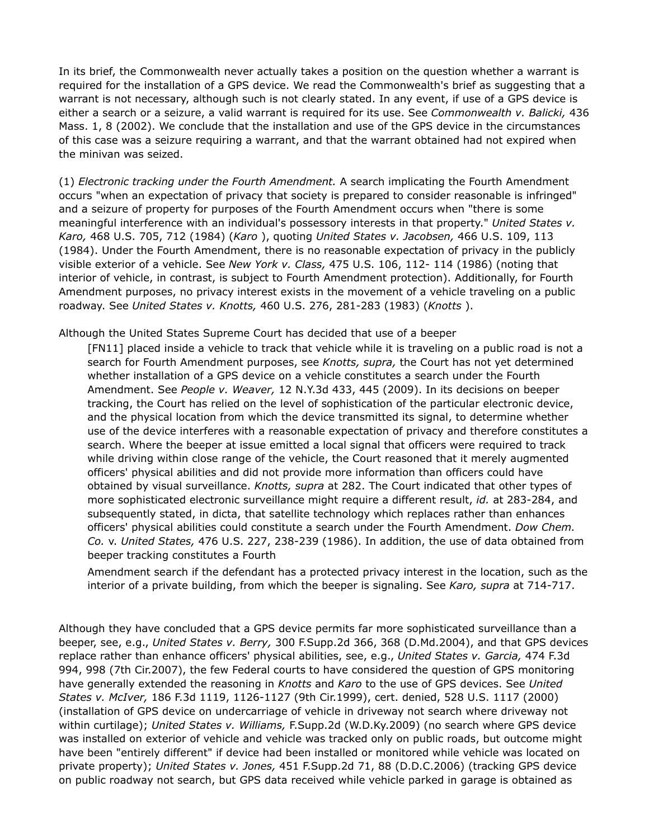In its brief, the Commonwealth never actually takes a position on the question whether a warrant is required for the installation of a GPS device. We read the Commonwealth's brief as suggesting that a warrant is not necessary, although such is not clearly stated. In any event, if use of a GPS device is either a search or a seizure, a valid warrant is required for its use. See *Commonwealth v. Balicki,* 436 Mass. 1, 8 (2002). We conclude that the installation and use of the GPS device in the circumstances of this case was a seizure requiring a warrant, and that the warrant obtained had not expired when the minivan was seized.

(1) *Electronic tracking under the Fourth Amendment.* A search implicating the Fourth Amendment occurs "when an expectation of privacy that society is prepared to consider reasonable is infringed" and a seizure of property for purposes of the Fourth Amendment occurs when "there is some meaningful interference with an individual's possessory interests in that property." *United States v. Karo,* 468 U.S. 705, 712 (1984) (*Karo* ), quoting *United States v. Jacobsen,* 466 U.S. 109, 113 (1984). Under the Fourth Amendment, there is no reasonable expectation of privacy in the publicly visible exterior of a vehicle. See *New York v. Class,* 475 U.S. 106, 112- 114 (1986) (noting that interior of vehicle, in contrast, is subject to Fourth Amendment protection). Additionally, for Fourth Amendment purposes, no privacy interest exists in the movement of a vehicle traveling on a public roadway. See *United States v. Knotts,* 460 U.S. 276, 281-283 (1983) (*Knotts* ).

Although the United States Supreme Court has decided that use of a beeper

[FN11] placed inside a vehicle to track that vehicle while it is traveling on a public road is not a search for Fourth Amendment purposes, see *Knotts, supra,* the Court has not yet determined whether installation of a GPS device on a vehicle constitutes a search under the Fourth Amendment. See *People v. Weaver,* 12 N.Y.3d 433, 445 (2009). In its decisions on beeper tracking, the Court has relied on the level of sophistication of the particular electronic device, and the physical location from which the device transmitted its signal, to determine whether use of the device interferes with a reasonable expectation of privacy and therefore constitutes a search. Where the beeper at issue emitted a local signal that officers were required to track while driving within close range of the vehicle, the Court reasoned that it merely augmented officers' physical abilities and did not provide more information than officers could have obtained by visual surveillance. *Knotts, supra* at 282. The Court indicated that other types of more sophisticated electronic surveillance might require a different result, *id.* at 283-284, and subsequently stated, in dicta, that satellite technology which replaces rather than enhances officers' physical abilities could constitute a search under the Fourth Amendment. *Dow Chem. Co.* v. *United States,* 476 U.S. 227, 238-239 (1986). In addition, the use of data obtained from beeper tracking constitutes a Fourth

Amendment search if the defendant has a protected privacy interest in the location, such as the interior of a private building, from which the beeper is signaling. See *Karo, supra* at 714-717.

Although they have concluded that a GPS device permits far more sophisticated surveillance than a beeper, see, e.g., *United States v. Berry,* 300 F.Supp.2d 366, 368 (D.Md.2004), and that GPS devices replace rather than enhance officers' physical abilities, see, e.g., *United States v. Garcia,* 474 F.3d 994, 998 (7th Cir.2007), the few Federal courts to have considered the question of GPS monitoring have generally extended the reasoning in *Knotts* and *Karo* to the use of GPS devices. See *United States v. McIver,* 186 F.3d 1119, 1126-1127 (9th Cir.1999), cert. denied, 528 U.S. 1117 (2000) (installation of GPS device on undercarriage of vehicle in driveway not search where driveway not within curtilage); *United States v. Williams,* F.Supp.2d (W.D.Ky.2009) (no search where GPS device was installed on exterior of vehicle and vehicle was tracked only on public roads, but outcome might have been "entirely different" if device had been installed or monitored while vehicle was located on private property); *United States v. Jones,* 451 F.Supp.2d 71, 88 (D.D.C.2006) (tracking GPS device on public roadway not search, but GPS data received while vehicle parked in garage is obtained as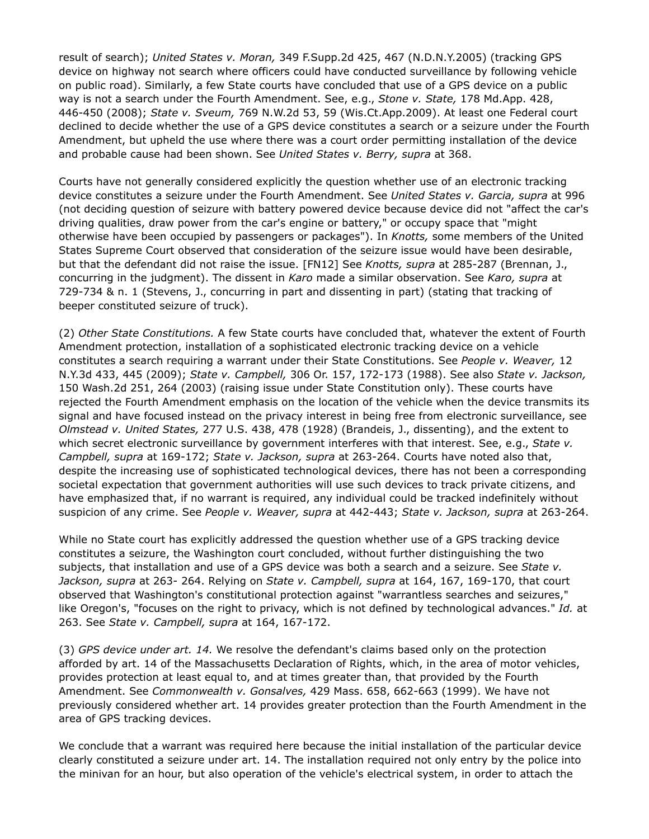result of search); *United States v. Moran,* 349 F.Supp.2d 425, 467 (N.D.N.Y.2005) (tracking GPS device on highway not search where officers could have conducted surveillance by following vehicle on public road). Similarly, a few State courts have concluded that use of a GPS device on a public way is not a search under the Fourth Amendment. See, e.g., *Stone v. State,* 178 Md.App. 428, 446-450 (2008); *State v. Sveum,* 769 N.W.2d 53, 59 (Wis.Ct.App.2009). At least one Federal court declined to decide whether the use of a GPS device constitutes a search or a seizure under the Fourth Amendment, but upheld the use where there was a court order permitting installation of the device and probable cause had been shown. See *United States v. Berry, supra* at 368.

Courts have not generally considered explicitly the question whether use of an electronic tracking device constitutes a seizure under the Fourth Amendment. See *United States v. Garcia, supra* at 996 (not deciding question of seizure with battery powered device because device did not "affect the car's driving qualities, draw power from the car's engine or battery," or occupy space that "might otherwise have been occupied by passengers or packages"). In *Knotts,* some members of the United States Supreme Court observed that consideration of the seizure issue would have been desirable, but that the defendant did not raise the issue. [FN12] See *Knotts, supra* at 285-287 (Brennan, J., concurring in the judgment). The dissent in *Karo* made a similar observation. See *Karo, supra* at 729-734 & n. 1 (Stevens, J., concurring in part and dissenting in part) (stating that tracking of beeper constituted seizure of truck).

(2) *Other State Constitutions.* A few State courts have concluded that, whatever the extent of Fourth Amendment protection, installation of a sophisticated electronic tracking device on a vehicle constitutes a search requiring a warrant under their State Constitutions. See *People v. Weaver,* 12 N.Y.3d 433, 445 (2009); *State v. Campbell,* 306 Or. 157, 172-173 (1988). See also *State v. Jackson,* 150 Wash.2d 251, 264 (2003) (raising issue under State Constitution only). These courts have rejected the Fourth Amendment emphasis on the location of the vehicle when the device transmits its signal and have focused instead on the privacy interest in being free from electronic surveillance, see *Olmstead v. United States,* 277 U.S. 438, 478 (1928) (Brandeis, J., dissenting), and the extent to which secret electronic surveillance by government interferes with that interest. See, e.g., *State v. Campbell, supra* at 169-172; *State v. Jackson, supra* at 263-264. Courts have noted also that, despite the increasing use of sophisticated technological devices, there has not been a corresponding societal expectation that government authorities will use such devices to track private citizens, and have emphasized that, if no warrant is required, any individual could be tracked indefinitely without suspicion of any crime. See *People v. Weaver, supra* at 442-443; *State v. Jackson, supra* at 263-264.

While no State court has explicitly addressed the question whether use of a GPS tracking device constitutes a seizure, the Washington court concluded, without further distinguishing the two subjects, that installation and use of a GPS device was both a search and a seizure. See *State v. Jackson, supra* at 263- 264. Relying on *State v. Campbell, supra* at 164, 167, 169-170, that court observed that Washington's constitutional protection against "warrantless searches and seizures," like Oregon's, "focuses on the right to privacy, which is not defined by technological advances." *Id.* at 263. See *State v. Campbell, supra* at 164, 167-172.

(3) *GPS device under art. 14.* We resolve the defendant's claims based only on the protection afforded by art. 14 of the Massachusetts Declaration of Rights, which, in the area of motor vehicles, provides protection at least equal to, and at times greater than, that provided by the Fourth Amendment. See *Commonwealth v. Gonsalves,* 429 Mass. 658, 662-663 (1999). We have not previously considered whether art. 14 provides greater protection than the Fourth Amendment in the area of GPS tracking devices.

We conclude that a warrant was required here because the initial installation of the particular device clearly constituted a seizure under art. 14. The installation required not only entry by the police into the minivan for an hour, but also operation of the vehicle's electrical system, in order to attach the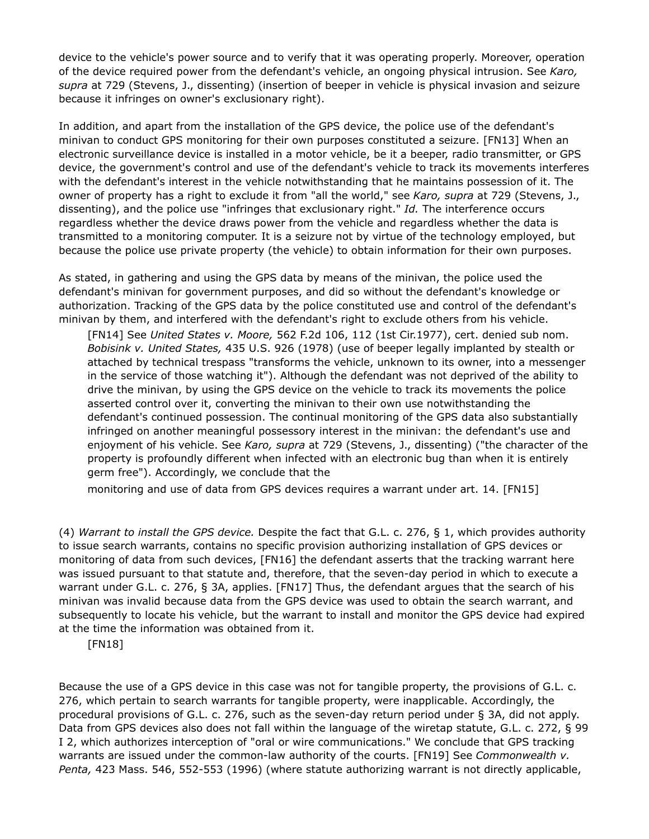device to the vehicle's power source and to verify that it was operating properly. Moreover, operation of the device required power from the defendant's vehicle, an ongoing physical intrusion. See *Karo, supra* at 729 (Stevens, J., dissenting) (insertion of beeper in vehicle is physical invasion and seizure because it infringes on owner's exclusionary right).

In addition, and apart from the installation of the GPS device, the police use of the defendant's minivan to conduct GPS monitoring for their own purposes constituted a seizure. [FN13] When an electronic surveillance device is installed in a motor vehicle, be it a beeper, radio transmitter, or GPS device, the government's control and use of the defendant's vehicle to track its movements interferes with the defendant's interest in the vehicle notwithstanding that he maintains possession of it. The owner of property has a right to exclude it from "all the world," see *Karo, supra* at 729 (Stevens, J., dissenting), and the police use "infringes that exclusionary right." *Id.* The interference occurs regardless whether the device draws power from the vehicle and regardless whether the data is transmitted to a monitoring computer. It is a seizure not by virtue of the technology employed, but because the police use private property (the vehicle) to obtain information for their own purposes.

As stated, in gathering and using the GPS data by means of the minivan, the police used the defendant's minivan for government purposes, and did so without the defendant's knowledge or authorization. Tracking of the GPS data by the police constituted use and control of the defendant's minivan by them, and interfered with the defendant's right to exclude others from his vehicle.

[FN14] See *United States v. Moore,* 562 F.2d 106, 112 (1st Cir.1977), cert. denied sub nom. *Bobisink v. United States,* 435 U.S. 926 (1978) (use of beeper legally implanted by stealth or attached by technical trespass "transforms the vehicle, unknown to its owner, into a messenger in the service of those watching it"). Although the defendant was not deprived of the ability to drive the minivan, by using the GPS device on the vehicle to track its movements the police asserted control over it, converting the minivan to their own use notwithstanding the defendant's continued possession. The continual monitoring of the GPS data also substantially infringed on another meaningful possessory interest in the minivan: the defendant's use and enjoyment of his vehicle. See *Karo, supra* at 729 (Stevens, J., dissenting) ("the character of the property is profoundly different when infected with an electronic bug than when it is entirely germ free"). Accordingly, we conclude that the

monitoring and use of data from GPS devices requires a warrant under art. 14. [FN15]

(4) *Warrant to install the GPS device.* Despite the fact that G.L. c. 276, § 1, which provides authority to issue search warrants, contains no specific provision authorizing installation of GPS devices or monitoring of data from such devices, [FN16] the defendant asserts that the tracking warrant here was issued pursuant to that statute and, therefore, that the seven-day period in which to execute a warrant under G.L. c. 276, § 3A, applies. [FN17] Thus, the defendant argues that the search of his minivan was invalid because data from the GPS device was used to obtain the search warrant, and subsequently to locate his vehicle, but the warrant to install and monitor the GPS device had expired at the time the information was obtained from it.

[FN18]

Because the use of a GPS device in this case was not for tangible property, the provisions of G.L. c. 276, which pertain to search warrants for tangible property, were inapplicable. Accordingly, the procedural provisions of G.L. c. 276, such as the seven-day return period under § 3A, did not apply. Data from GPS devices also does not fall within the language of the wiretap statute, G.L. c. 272, § 99 I 2, which authorizes interception of "oral or wire communications." We conclude that GPS tracking warrants are issued under the common-law authority of the courts. [FN19] See *Commonwealth v. Penta,* 423 Mass. 546, 552-553 (1996) (where statute authorizing warrant is not directly applicable,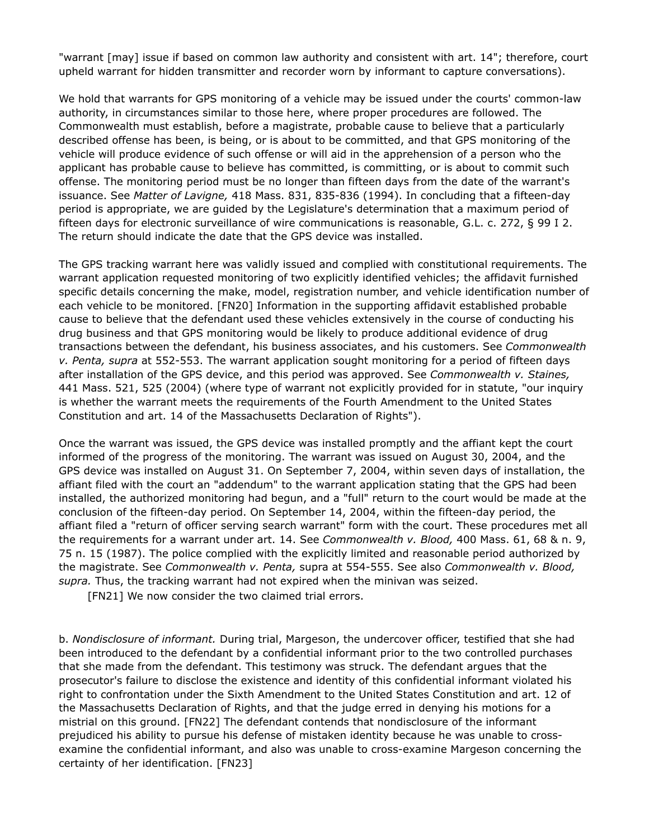"warrant [may] issue if based on common law authority and consistent with art. 14"; therefore, court upheld warrant for hidden transmitter and recorder worn by informant to capture conversations).

We hold that warrants for GPS monitoring of a vehicle may be issued under the courts' common-law authority, in circumstances similar to those here, where proper procedures are followed. The Commonwealth must establish, before a magistrate, probable cause to believe that a particularly described offense has been, is being, or is about to be committed, and that GPS monitoring of the vehicle will produce evidence of such offense or will aid in the apprehension of a person who the applicant has probable cause to believe has committed, is committing, or is about to commit such offense. The monitoring period must be no longer than fifteen days from the date of the warrant's issuance. See *Matter of Lavigne,* 418 Mass. 831, 835-836 (1994). In concluding that a fifteen-day period is appropriate, we are guided by the Legislature's determination that a maximum period of fifteen days for electronic surveillance of wire communications is reasonable, G.L. c. 272, § 99 I 2. The return should indicate the date that the GPS device was installed.

The GPS tracking warrant here was validly issued and complied with constitutional requirements. The warrant application requested monitoring of two explicitly identified vehicles; the affidavit furnished specific details concerning the make, model, registration number, and vehicle identification number of each vehicle to be monitored. [FN20] Information in the supporting affidavit established probable cause to believe that the defendant used these vehicles extensively in the course of conducting his drug business and that GPS monitoring would be likely to produce additional evidence of drug transactions between the defendant, his business associates, and his customers. See *Commonwealth v. Penta, supra* at 552-553. The warrant application sought monitoring for a period of fifteen days after installation of the GPS device, and this period was approved. See *Commonwealth v. Staines,* 441 Mass. 521, 525 (2004) (where type of warrant not explicitly provided for in statute, "our inquiry is whether the warrant meets the requirements of the Fourth Amendment to the United States Constitution and art. 14 of the Massachusetts Declaration of Rights").

Once the warrant was issued, the GPS device was installed promptly and the affiant kept the court informed of the progress of the monitoring. The warrant was issued on August 30, 2004, and the GPS device was installed on August 31. On September 7, 2004, within seven days of installation, the affiant filed with the court an "addendum" to the warrant application stating that the GPS had been installed, the authorized monitoring had begun, and a "full" return to the court would be made at the conclusion of the fifteen-day period. On September 14, 2004, within the fifteen-day period, the affiant filed a "return of officer serving search warrant" form with the court. These procedures met all the requirements for a warrant under art. 14. See *Commonwealth v. Blood,* 400 Mass. 61, 68 & n. 9, 75 n. 15 (1987). The police complied with the explicitly limited and reasonable period authorized by the magistrate. See *Commonwealth v. Penta,* supra at 554-555. See also *Commonwealth v. Blood, supra.* Thus, the tracking warrant had not expired when the minivan was seized.

[FN21] We now consider the two claimed trial errors.

b. *Nondisclosure of informant.* During trial, Margeson, the undercover officer, testified that she had been introduced to the defendant by a confidential informant prior to the two controlled purchases that she made from the defendant. This testimony was struck. The defendant argues that the prosecutor's failure to disclose the existence and identity of this confidential informant violated his right to confrontation under the Sixth Amendment to the United States Constitution and art. 12 of the Massachusetts Declaration of Rights, and that the judge erred in denying his motions for a mistrial on this ground. [FN22] The defendant contends that nondisclosure of the informant prejudiced his ability to pursue his defense of mistaken identity because he was unable to crossexamine the confidential informant, and also was unable to cross-examine Margeson concerning the certainty of her identification. [FN23]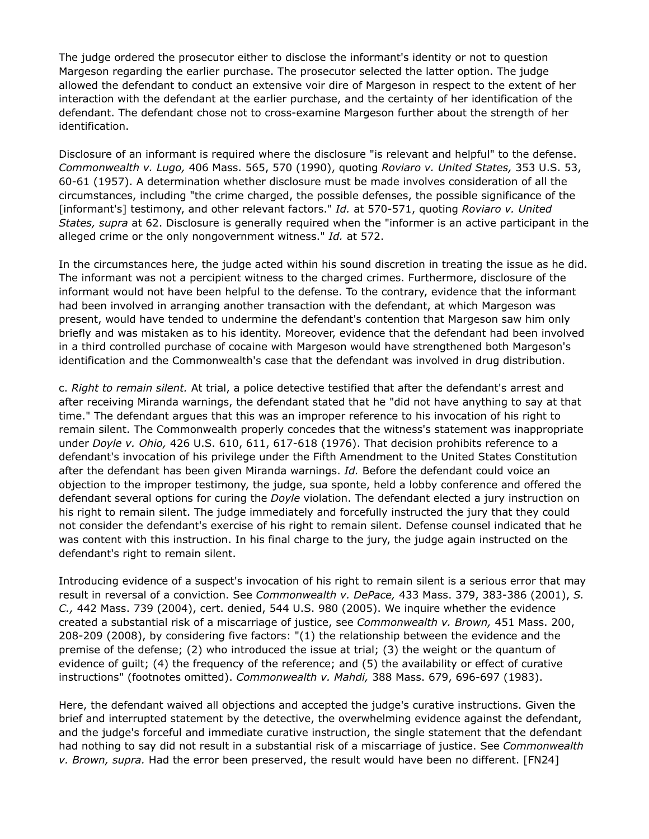The judge ordered the prosecutor either to disclose the informant's identity or not to question Margeson regarding the earlier purchase. The prosecutor selected the latter option. The judge allowed the defendant to conduct an extensive voir dire of Margeson in respect to the extent of her interaction with the defendant at the earlier purchase, and the certainty of her identification of the defendant. The defendant chose not to cross-examine Margeson further about the strength of her identification.

Disclosure of an informant is required where the disclosure "is relevant and helpful" to the defense. *Commonwealth v. Lugo,* 406 Mass. 565, 570 (1990), quoting *Roviaro v. United States,* 353 U.S. 53, 60-61 (1957). A determination whether disclosure must be made involves consideration of all the circumstances, including "the crime charged, the possible defenses, the possible significance of the [informant's] testimony, and other relevant factors." *Id.* at 570-571, quoting *Roviaro v. United States, supra* at 62. Disclosure is generally required when the "informer is an active participant in the alleged crime or the only nongovernment witness." *Id.* at 572.

In the circumstances here, the judge acted within his sound discretion in treating the issue as he did. The informant was not a percipient witness to the charged crimes. Furthermore, disclosure of the informant would not have been helpful to the defense. To the contrary, evidence that the informant had been involved in arranging another transaction with the defendant, at which Margeson was present, would have tended to undermine the defendant's contention that Margeson saw him only briefly and was mistaken as to his identity. Moreover, evidence that the defendant had been involved in a third controlled purchase of cocaine with Margeson would have strengthened both Margeson's identification and the Commonwealth's case that the defendant was involved in drug distribution.

c. *Right to remain silent.* At trial, a police detective testified that after the defendant's arrest and after receiving Miranda warnings, the defendant stated that he "did not have anything to say at that time." The defendant argues that this was an improper reference to his invocation of his right to remain silent. The Commonwealth properly concedes that the witness's statement was inappropriate under *Doyle v. Ohio,* 426 U.S. 610, 611, 617-618 (1976). That decision prohibits reference to a defendant's invocation of his privilege under the Fifth Amendment to the United States Constitution after the defendant has been given Miranda warnings. *Id.* Before the defendant could voice an objection to the improper testimony, the judge, sua sponte, held a lobby conference and offered the defendant several options for curing the *Doyle* violation. The defendant elected a jury instruction on his right to remain silent. The judge immediately and forcefully instructed the jury that they could not consider the defendant's exercise of his right to remain silent. Defense counsel indicated that he was content with this instruction. In his final charge to the jury, the judge again instructed on the defendant's right to remain silent.

Introducing evidence of a suspect's invocation of his right to remain silent is a serious error that may result in reversal of a conviction. See *Commonwealth v. DePace,* 433 Mass. 379, 383-386 (2001), *S. C.,* 442 Mass. 739 (2004), cert. denied, 544 U.S. 980 (2005). We inquire whether the evidence created a substantial risk of a miscarriage of justice, see *Commonwealth v. Brown,* 451 Mass. 200, 208-209 (2008), by considering five factors: "(1) the relationship between the evidence and the premise of the defense; (2) who introduced the issue at trial; (3) the weight or the quantum of evidence of guilt; (4) the frequency of the reference; and (5) the availability or effect of curative instructions" (footnotes omitted). *Commonwealth v. Mahdi,* 388 Mass. 679, 696-697 (1983).

Here, the defendant waived all objections and accepted the judge's curative instructions. Given the brief and interrupted statement by the detective, the overwhelming evidence against the defendant, and the judge's forceful and immediate curative instruction, the single statement that the defendant had nothing to say did not result in a substantial risk of a miscarriage of justice. See *Commonwealth v. Brown, supra.* Had the error been preserved, the result would have been no different. [FN24]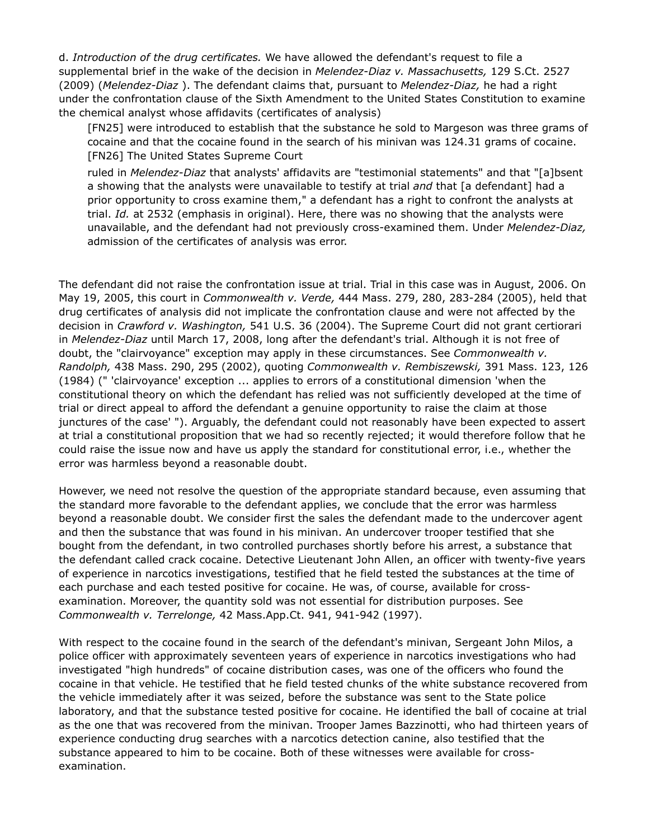d. *Introduction of the drug certificates.* We have allowed the defendant's request to file a supplemental brief in the wake of the decision in *Melendez*-*Diaz v. Massachusetts,* 129 S.Ct. 2527 (2009) (*Melendez-Diaz* ). The defendant claims that, pursuant to *Melendez-Diaz,* he had a right under the confrontation clause of the Sixth Amendment to the United States Constitution to examine the chemical analyst whose affidavits (certificates of analysis)

[FN25] were introduced to establish that the substance he sold to Margeson was three grams of cocaine and that the cocaine found in the search of his minivan was 124.31 grams of cocaine. [FN26] The United States Supreme Court

ruled in *Melendez*-*Diaz* that analysts' affidavits are "testimonial statements" and that "[a]bsent a showing that the analysts were unavailable to testify at trial *and* that [a defendant] had a prior opportunity to cross examine them," a defendant has a right to confront the analysts at trial. *Id.* at 2532 (emphasis in original). Here, there was no showing that the analysts were unavailable, and the defendant had not previously cross-examined them. Under *Melendez-Diaz,* admission of the certificates of analysis was error.

The defendant did not raise the confrontation issue at trial. Trial in this case was in August, 2006. On May 19, 2005, this court in *Commonwealth v. Verde,* 444 Mass. 279, 280, 283-284 (2005), held that drug certificates of analysis did not implicate the confrontation clause and were not affected by the decision in *Crawford v. Washington,* 541 U.S. 36 (2004). The Supreme Court did not grant certiorari in *Melendez-Diaz* until March 17, 2008, long after the defendant's trial. Although it is not free of doubt, the "clairvoyance" exception may apply in these circumstances. See *Commonwealth v. Randolph,* 438 Mass. 290, 295 (2002), quoting *Commonwealth v. Rembiszewski,* 391 Mass. 123, 126 (1984) (" 'clairvoyance' exception ... applies to errors of a constitutional dimension 'when the constitutional theory on which the defendant has relied was not sufficiently developed at the time of trial or direct appeal to afford the defendant a genuine opportunity to raise the claim at those junctures of the case' "). Arguably, the defendant could not reasonably have been expected to assert at trial a constitutional proposition that we had so recently rejected; it would therefore follow that he could raise the issue now and have us apply the standard for constitutional error, i.e., whether the error was harmless beyond a reasonable doubt.

However, we need not resolve the question of the appropriate standard because, even assuming that the standard more favorable to the defendant applies, we conclude that the error was harmless beyond a reasonable doubt. We consider first the sales the defendant made to the undercover agent and then the substance that was found in his minivan. An undercover trooper testified that she bought from the defendant, in two controlled purchases shortly before his arrest, a substance that the defendant called crack cocaine. Detective Lieutenant John Allen, an officer with twenty-five years of experience in narcotics investigations, testified that he field tested the substances at the time of each purchase and each tested positive for cocaine. He was, of course, available for crossexamination. Moreover, the quantity sold was not essential for distribution purposes. See *Commonwealth v. Terrelonge,* 42 Mass.App.Ct. 941, 941-942 (1997).

With respect to the cocaine found in the search of the defendant's minivan, Sergeant John Milos, a police officer with approximately seventeen years of experience in narcotics investigations who had investigated "high hundreds" of cocaine distribution cases, was one of the officers who found the cocaine in that vehicle. He testified that he field tested chunks of the white substance recovered from the vehicle immediately after it was seized, before the substance was sent to the State police laboratory, and that the substance tested positive for cocaine. He identified the ball of cocaine at trial as the one that was recovered from the minivan. Trooper James Bazzinotti, who had thirteen years of experience conducting drug searches with a narcotics detection canine, also testified that the substance appeared to him to be cocaine. Both of these witnesses were available for crossexamination.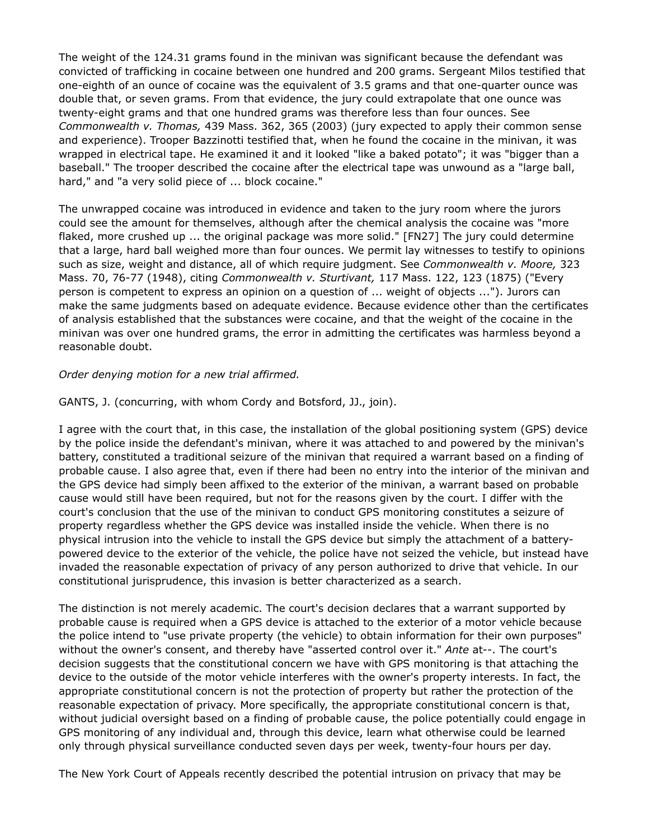The weight of the 124.31 grams found in the minivan was significant because the defendant was convicted of trafficking in cocaine between one hundred and 200 grams. Sergeant Milos testified that one-eighth of an ounce of cocaine was the equivalent of 3.5 grams and that one-quarter ounce was double that, or seven grams. From that evidence, the jury could extrapolate that one ounce was twenty-eight grams and that one hundred grams was therefore less than four ounces. See *Commonwealth v. Thomas,* 439 Mass. 362, 365 (2003) (jury expected to apply their common sense and experience). Trooper Bazzinotti testified that, when he found the cocaine in the minivan, it was wrapped in electrical tape. He examined it and it looked "like a baked potato"; it was "bigger than a baseball." The trooper described the cocaine after the electrical tape was unwound as a "large ball, hard," and "a very solid piece of ... block cocaine."

The unwrapped cocaine was introduced in evidence and taken to the jury room where the jurors could see the amount for themselves, although after the chemical analysis the cocaine was "more flaked, more crushed up ... the original package was more solid." [FN27] The jury could determine that a large, hard ball weighed more than four ounces. We permit lay witnesses to testify to opinions such as size, weight and distance, all of which require judgment. See *Commonwealth v. Moore,* 323 Mass. 70, 76-77 (1948), citing *Commonwealth v. Sturtivant,* 117 Mass. 122, 123 (1875) ("Every person is competent to express an opinion on a question of ... weight of objects ..."). Jurors can make the same judgments based on adequate evidence. Because evidence other than the certificates of analysis established that the substances were cocaine, and that the weight of the cocaine in the minivan was over one hundred grams, the error in admitting the certificates was harmless beyond a reasonable doubt.

## *Order denying motion for a new trial affirmed.*

## GANTS, J. (concurring, with whom Cordy and Botsford, JJ., join).

I agree with the court that, in this case, the installation of the global positioning system (GPS) device by the police inside the defendant's minivan, where it was attached to and powered by the minivan's battery, constituted a traditional seizure of the minivan that required a warrant based on a finding of probable cause. I also agree that, even if there had been no entry into the interior of the minivan and the GPS device had simply been affixed to the exterior of the minivan, a warrant based on probable cause would still have been required, but not for the reasons given by the court. I differ with the court's conclusion that the use of the minivan to conduct GPS monitoring constitutes a seizure of property regardless whether the GPS device was installed inside the vehicle. When there is no physical intrusion into the vehicle to install the GPS device but simply the attachment of a batterypowered device to the exterior of the vehicle, the police have not seized the vehicle, but instead have invaded the reasonable expectation of privacy of any person authorized to drive that vehicle. In our constitutional jurisprudence, this invasion is better characterized as a search.

The distinction is not merely academic. The court's decision declares that a warrant supported by probable cause is required when a GPS device is attached to the exterior of a motor vehicle because the police intend to "use private property (the vehicle) to obtain information for their own purposes" without the owner's consent, and thereby have "asserted control over it." *Ante* at--. The court's decision suggests that the constitutional concern we have with GPS monitoring is that attaching the device to the outside of the motor vehicle interferes with the owner's property interests. In fact, the appropriate constitutional concern is not the protection of property but rather the protection of the reasonable expectation of privacy. More specifically, the appropriate constitutional concern is that, without judicial oversight based on a finding of probable cause, the police potentially could engage in GPS monitoring of any individual and, through this device, learn what otherwise could be learned only through physical surveillance conducted seven days per week, twenty-four hours per day.

The New York Court of Appeals recently described the potential intrusion on privacy that may be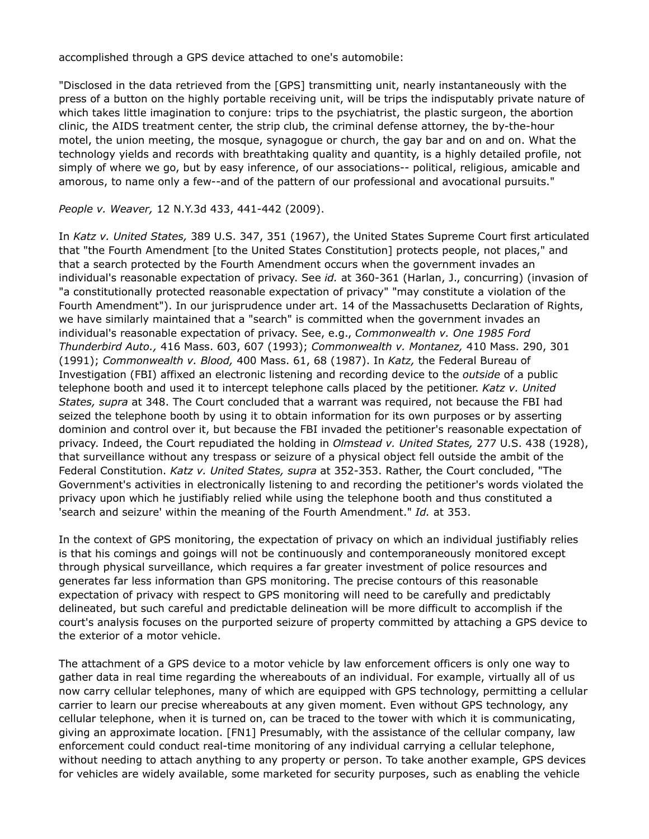accomplished through a GPS device attached to one's automobile:

"Disclosed in the data retrieved from the [GPS] transmitting unit, nearly instantaneously with the press of a button on the highly portable receiving unit, will be trips the indisputably private nature of which takes little imagination to conjure: trips to the psychiatrist, the plastic surgeon, the abortion clinic, the AIDS treatment center, the strip club, the criminal defense attorney, the by-the-hour motel, the union meeting, the mosque, synagogue or church, the gay bar and on and on. What the technology yields and records with breathtaking quality and quantity, is a highly detailed profile, not simply of where we go, but by easy inference, of our associations-- political, religious, amicable and amorous, to name only a few--and of the pattern of our professional and avocational pursuits."

*People v. Weaver,* 12 N.Y.3d 433, 441-442 (2009).

In *Katz v. United States,* 389 U.S. 347, 351 (1967), the United States Supreme Court first articulated that "the Fourth Amendment [to the United States Constitution] protects people, not places," and that a search protected by the Fourth Amendment occurs when the government invades an individual's reasonable expectation of privacy. See *id.* at 360-361 (Harlan, J., concurring) (invasion of "a constitutionally protected reasonable expectation of privacy" "may constitute a violation of the Fourth Amendment"). In our jurisprudence under art. 14 of the Massachusetts Declaration of Rights, we have similarly maintained that a "search" is committed when the government invades an individual's reasonable expectation of privacy. See, e.g., *Commonwealth v. One 1985 Ford Thunderbird Auto.,* 416 Mass. 603, 607 (1993); *Commonwealth v. Montanez,* 410 Mass. 290, 301 (1991); *Commonwealth v. Blood,* 400 Mass. 61, 68 (1987). In *Katz,* the Federal Bureau of Investigation (FBI) affixed an electronic listening and recording device to the *outside* of a public telephone booth and used it to intercept telephone calls placed by the petitioner. *Katz v. United States, supra* at 348. The Court concluded that a warrant was required, not because the FBI had seized the telephone booth by using it to obtain information for its own purposes or by asserting dominion and control over it, but because the FBI invaded the petitioner's reasonable expectation of privacy. Indeed, the Court repudiated the holding in *Olmstead v. United States,* 277 U.S. 438 (1928), that surveillance without any trespass or seizure of a physical object fell outside the ambit of the Federal Constitution. *Katz v. United States, supra* at 352-353. Rather, the Court concluded, "The Government's activities in electronically listening to and recording the petitioner's words violated the privacy upon which he justifiably relied while using the telephone booth and thus constituted a 'search and seizure' within the meaning of the Fourth Amendment." *Id.* at 353.

In the context of GPS monitoring, the expectation of privacy on which an individual justifiably relies is that his comings and goings will not be continuously and contemporaneously monitored except through physical surveillance, which requires a far greater investment of police resources and generates far less information than GPS monitoring. The precise contours of this reasonable expectation of privacy with respect to GPS monitoring will need to be carefully and predictably delineated, but such careful and predictable delineation will be more difficult to accomplish if the court's analysis focuses on the purported seizure of property committed by attaching a GPS device to the exterior of a motor vehicle.

The attachment of a GPS device to a motor vehicle by law enforcement officers is only one way to gather data in real time regarding the whereabouts of an individual. For example, virtually all of us now carry cellular telephones, many of which are equipped with GPS technology, permitting a cellular carrier to learn our precise whereabouts at any given moment. Even without GPS technology, any cellular telephone, when it is turned on, can be traced to the tower with which it is communicating, giving an approximate location. [FN1] Presumably, with the assistance of the cellular company, law enforcement could conduct real-time monitoring of any individual carrying a cellular telephone, without needing to attach anything to any property or person. To take another example, GPS devices for vehicles are widely available, some marketed for security purposes, such as enabling the vehicle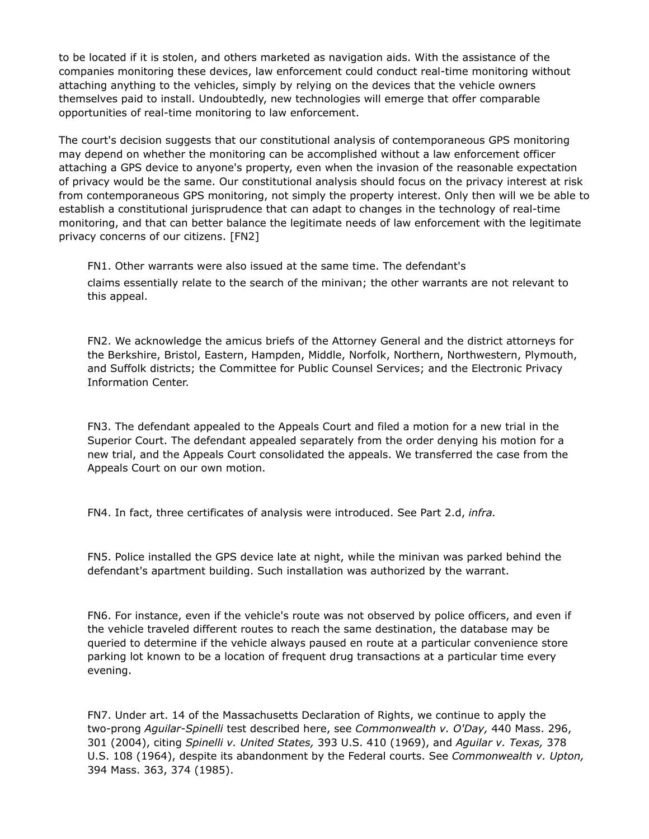to be located if it is stolen, and others marketed as navigation aids. With the assistance of the companies monitoring these devices, law enforcement could conduct real-time monitoring without attaching anything to the vehicles, simply by relying on the devices that the vehicle owners themselves paid to install. Undoubtedly, new technologies will emerge that offer comparable opportunities of real-time monitoring to law enforcement.

The court's decision suggests that our constitutional analysis of contemporaneous GPS monitoring may depend on whether the monitoring can be accomplished without a law enforcement officer attaching a GPS device to anyone's property, even when the invasion of the reasonable expectation of privacy would be the same. Our constitutional analysis should focus on the privacy interest at risk from contemporaneous GPS monitoring, not simply the property interest. Only then will we be able to establish a constitutional jurisprudence that can adapt to changes in the technology of real-time monitoring, and that can better balance the legitimate needs of law enforcement with the legitimate privacy concerns of our citizens. [FN2]

FN1. Other warrants were also issued at the same time. The defendant's claims essentially relate to the search of the minivan; the other warrants are not relevant to this appeal.

FN2. We acknowledge the amicus briefs of the Attorney General and the district attorneys for the Berkshire, Bristol, Eastern, Hampden, Middle, Norfolk, Northern, Northwestern, Plymouth, and Suffolk districts; the Committee for Public Counsel Services; and the Electronic Privacy Information Center.

FN3. The defendant appealed to the Appeals Court and filed a motion for a new trial in the Superior Court. The defendant appealed separately from the order denying his motion for a new trial, and the Appeals Court consolidated the appeals. We transferred the case from the Appeals Court on our own motion.

FN4. In fact, three certificates of analysis were introduced. See Part 2.d, *infra.*

FN5. Police installed the GPS device late at night, while the minivan was parked behind the defendant's apartment building. Such installation was authorized by the warrant.

FN6. For instance, even if the vehicle's route was not observed by police officers, and even if the vehicle traveled different routes to reach the same destination, the database may be queried to determine if the vehicle always paused en route at a particular convenience store parking lot known to be a location of frequent drug transactions at a particular time every evening.

FN7. Under art. 14 of the Massachusetts Declaration of Rights, we continue to apply the two-prong *Aguilar*-*Spinelli* test described here, see *Commonwealth v. O'Day,* 440 Mass. 296, 301 (2004), citing *Spinelli v. United States,* 393 U.S. 410 (1969), and *Aguilar v. Texas,* 378 U.S. 108 (1964), despite its abandonment by the Federal courts. See *Commonwealth v. Upton,* 394 Mass. 363, 374 (1985).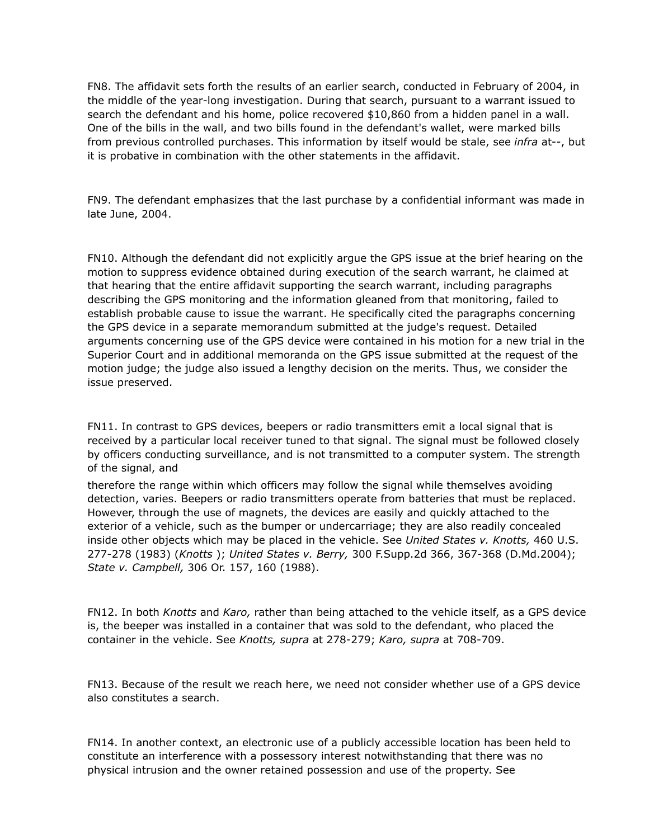FN8. The affidavit sets forth the results of an earlier search, conducted in February of 2004, in the middle of the year-long investigation. During that search, pursuant to a warrant issued to search the defendant and his home, police recovered \$10,860 from a hidden panel in a wall. One of the bills in the wall, and two bills found in the defendant's wallet, were marked bills from previous controlled purchases. This information by itself would be stale, see *infra* at--, but it is probative in combination with the other statements in the affidavit.

FN9. The defendant emphasizes that the last purchase by a confidential informant was made in late June, 2004.

FN10. Although the defendant did not explicitly argue the GPS issue at the brief hearing on the motion to suppress evidence obtained during execution of the search warrant, he claimed at that hearing that the entire affidavit supporting the search warrant, including paragraphs describing the GPS monitoring and the information gleaned from that monitoring, failed to establish probable cause to issue the warrant. He specifically cited the paragraphs concerning the GPS device in a separate memorandum submitted at the judge's request. Detailed arguments concerning use of the GPS device were contained in his motion for a new trial in the Superior Court and in additional memoranda on the GPS issue submitted at the request of the motion judge; the judge also issued a lengthy decision on the merits. Thus, we consider the issue preserved.

FN11. In contrast to GPS devices, beepers or radio transmitters emit a local signal that is received by a particular local receiver tuned to that signal. The signal must be followed closely by officers conducting surveillance, and is not transmitted to a computer system. The strength of the signal, and

therefore the range within which officers may follow the signal while themselves avoiding detection, varies. Beepers or radio transmitters operate from batteries that must be replaced. However, through the use of magnets, the devices are easily and quickly attached to the exterior of a vehicle, such as the bumper or undercarriage; they are also readily concealed inside other objects which may be placed in the vehicle. See *United States v. Knotts,* 460 U.S. 277-278 (1983) (*Knotts* ); *United States v. Berry,* 300 F.Supp.2d 366, 367-368 (D.Md.2004); *State v. Campbell,* 306 Or. 157, 160 (1988).

FN12. In both *Knotts* and *Karo,* rather than being attached to the vehicle itself, as a GPS device is, the beeper was installed in a container that was sold to the defendant, who placed the container in the vehicle. See *Knotts, supra* at 278-279; *Karo, supra* at 708-709.

FN13. Because of the result we reach here, we need not consider whether use of a GPS device also constitutes a search.

FN14. In another context, an electronic use of a publicly accessible location has been held to constitute an interference with a possessory interest notwithstanding that there was no physical intrusion and the owner retained possession and use of the property. See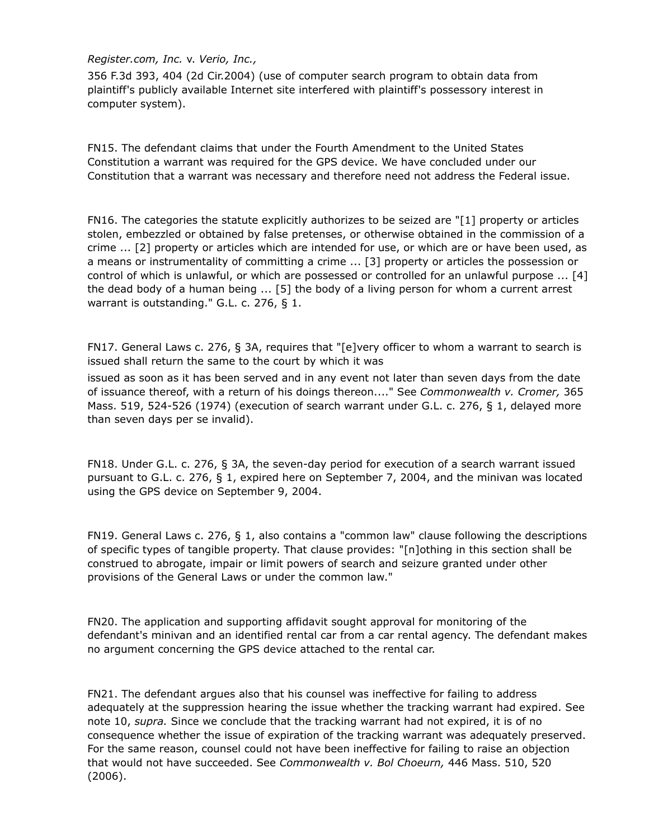## *Register.com, Inc.* v. *Verio, Inc.,*

356 F.3d 393, 404 (2d Cir.2004) (use of computer search program to obtain data from plaintiff's publicly available Internet site interfered with plaintiff's possessory interest in computer system).

FN15. The defendant claims that under the Fourth Amendment to the United States Constitution a warrant was required for the GPS device. We have concluded under our Constitution that a warrant was necessary and therefore need not address the Federal issue.

FN16. The categories the statute explicitly authorizes to be seized are "[1] property or articles stolen, embezzled or obtained by false pretenses, or otherwise obtained in the commission of a crime ... [2] property or articles which are intended for use, or which are or have been used, as a means or instrumentality of committing a crime ... [3] property or articles the possession or control of which is unlawful, or which are possessed or controlled for an unlawful purpose ... [4] the dead body of a human being ... [5] the body of a living person for whom a current arrest warrant is outstanding." G.L. c. 276, § 1.

FN17. General Laws c. 276, § 3A, requires that "[e]very officer to whom a warrant to search is issued shall return the same to the court by which it was

issued as soon as it has been served and in any event not later than seven days from the date of issuance thereof, with a return of his doings thereon...." See *Commonwealth v. Cromer,* 365 Mass. 519, 524-526 (1974) (execution of search warrant under G.L. c. 276, § 1, delayed more than seven days per se invalid).

FN18. Under G.L. c. 276, § 3A, the seven-day period for execution of a search warrant issued pursuant to G.L. c. 276, § 1, expired here on September 7, 2004, and the minivan was located using the GPS device on September 9, 2004.

FN19. General Laws c. 276, § 1, also contains a "common law" clause following the descriptions of specific types of tangible property. That clause provides: "[n]othing in this section shall be construed to abrogate, impair or limit powers of search and seizure granted under other provisions of the General Laws or under the common law."

FN20. The application and supporting affidavit sought approval for monitoring of the defendant's minivan and an identified rental car from a car rental agency. The defendant makes no argument concerning the GPS device attached to the rental car.

FN21. The defendant argues also that his counsel was ineffective for failing to address adequately at the suppression hearing the issue whether the tracking warrant had expired. See note 10, *supra.* Since we conclude that the tracking warrant had not expired, it is of no consequence whether the issue of expiration of the tracking warrant was adequately preserved. For the same reason, counsel could not have been ineffective for failing to raise an objection that would not have succeeded. See *Commonwealth v. Bol Choeurn,* 446 Mass. 510, 520 (2006).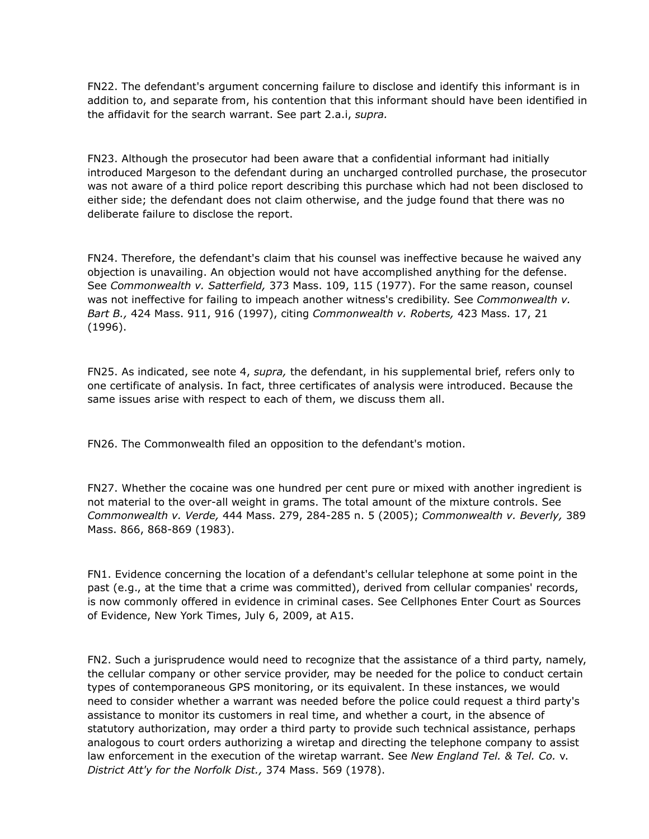FN22. The defendant's argument concerning failure to disclose and identify this informant is in addition to, and separate from, his contention that this informant should have been identified in the affidavit for the search warrant. See part 2.a.i, *supra.*

FN23. Although the prosecutor had been aware that a confidential informant had initially introduced Margeson to the defendant during an uncharged controlled purchase, the prosecutor was not aware of a third police report describing this purchase which had not been disclosed to either side; the defendant does not claim otherwise, and the judge found that there was no deliberate failure to disclose the report.

FN24. Therefore, the defendant's claim that his counsel was ineffective because he waived any objection is unavailing. An objection would not have accomplished anything for the defense. See *Commonwealth v. Satterfield,* 373 Mass. 109, 115 (1977). For the same reason, counsel was not ineffective for failing to impeach another witness's credibility. See *Commonwealth v. Bart B.,* 424 Mass. 911, 916 (1997), citing *Commonwealth v. Roberts,* 423 Mass. 17, 21 (1996).

FN25. As indicated, see note 4, *supra,* the defendant, in his supplemental brief, refers only to one certificate of analysis. In fact, three certificates of analysis were introduced. Because the same issues arise with respect to each of them, we discuss them all.

FN26. The Commonwealth filed an opposition to the defendant's motion.

FN27. Whether the cocaine was one hundred per cent pure or mixed with another ingredient is not material to the over-all weight in grams. The total amount of the mixture controls. See *Commonwealth v. Verde,* 444 Mass. 279, 284-285 n. 5 (2005); *Commonwealth v. Beverly,* 389 Mass. 866, 868-869 (1983).

FN1. Evidence concerning the location of a defendant's cellular telephone at some point in the past (e.g., at the time that a crime was committed), derived from cellular companies' records, is now commonly offered in evidence in criminal cases. See Cellphones Enter Court as Sources of Evidence, New York Times, July 6, 2009, at A15.

FN2. Such a jurisprudence would need to recognize that the assistance of a third party, namely, the cellular company or other service provider, may be needed for the police to conduct certain types of contemporaneous GPS monitoring, or its equivalent. In these instances, we would need to consider whether a warrant was needed before the police could request a third party's assistance to monitor its customers in real time, and whether a court, in the absence of statutory authorization, may order a third party to provide such technical assistance, perhaps analogous to court orders authorizing a wiretap and directing the telephone company to assist law enforcement in the execution of the wiretap warrant. See *New England Tel. & Tel. Co.* v. *District Att'y for the Norfolk Dist.,* 374 Mass. 569 (1978).